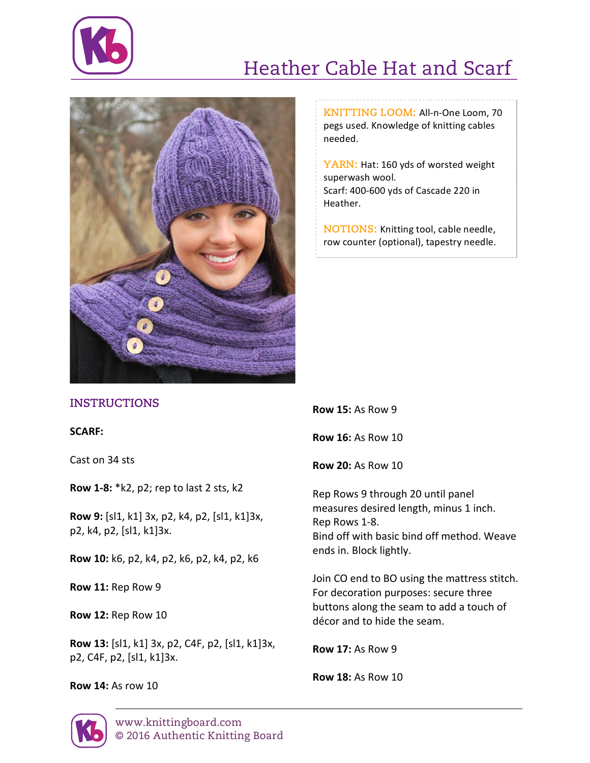

## Heather Cable Hat and Scarf



**KNITTING LOOM: All-n-One Loom, 70** pegs used. Knowledge of knitting cables needed.

YARN: Hat: 160 yds of worsted weight superwash wool. Scarf: 400-600 yds of Cascade 220 in Heather.

**NOTIONS:** Knitting tool, cable needle, row counter (optional), tapestry needle.

## **INSTRUCTIONS**

**SCARF:**

Cast on 34 sts

**Row 1-8:** \*k2, p2; rep to last 2 sts, k2

**Row 9:** [sl1, k1] 3x, p2, k4, p2, [sl1, k1]3x, p2, k4, p2, [sl1, k1]3x. 

**Row 10:** k6, p2, k4, p2, k6, p2, k4, p2, k6

**Row 11: Rep Row 9** 

**Row 12: Rep Row 10** 

**Row 13:** [sl1, k1] 3x, p2, C4F, p2, [sl1, k1]3x, p2, C4F, p2, [sl1, k1]3x.

**Row 14: As row 10** 

**Row 15: As Row 9** 

**Row 16: As Row 10** 

**Row 20:** As Row 10

Rep Rows 9 through 20 until panel measures desired length, minus 1 inch. Rep Rows 1-8. Bind off with basic bind off method. Weave ends in. Block lightly.

Join CO end to BO using the mattress stitch. For decoration purposes: secure three buttons along the seam to add a touch of décor and to hide the seam.

**Row 17: As Row 9** 

**Row 18:** As Row 10